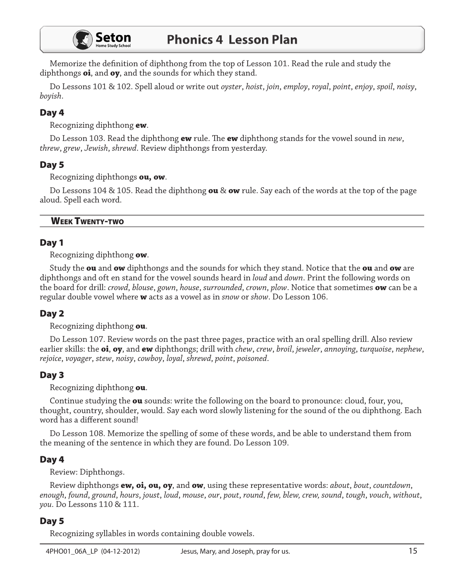

Memorize the definition of diphthong from the top of Lesson 101. Read the rule and study the diphthongs oi, and oy, and the sounds for which they stand.

Do Lessons 101 & 102. Spell aloud or write out *oyster, hoist, join, employ, royal, point, enjoy, spoil, noisy,* boyish.

# Day 4

Recognizing diphthong ew.

Do Lesson 103. Read the diphthong **ew** rule. The **ew** diphthong stands for the vowel sound in new, threw, grew, Jewish, shrewd. Review diphthongs from yesterday.

### Day 5

Recognizing diphthongs ou, ow.

Do Lessons 104 & 105. Read the diphthong ou & ow rule. Say each of the words at the top of the page aloud. Spell each word.

#### **WEEK TWENTY-TWO**

### Day 1

Recognizing diphthong ow.

Study the ou and ow diphthongs and the sounds for which they stand. Notice that the ou and ow are diphthongs and oft en stand for the vowel sounds heard in *loud* and *down*. Print the following words on the board for drill: crowd, blouse, gown, house, surrounded, crown, plow. Notice that sometimes ow can be a regular double vowel where **w** acts as a vowel as in *snow* or *show*. Do Lesson 106.

### Day 2

Recognizing diphthong ou.

Do Lesson 107. Review words on the past three pages, practice with an oral spelling drill. Also review earlier skills: the oi, oy, and ew diphthongs; drill with *chew, crew, broil, jeweler, annoying, turquoise, nephew,* rejoice, voyager, stew, noisy, cowboy, loyal, shrewd, point, poisoned.

### Day 3

Recognizing diphthong ou.

Continue studying the ou sounds: write the following on the board to pronounce: cloud, four, you, thought, country, shoulder, would. Say each word slowly listening for the sound of the ou diphthong. Each word has a different sound!

Do Lesson 108. Memorize the spelling of some of these words, and be able to understand them from the meaning of the sentence in which they are found. Do Lesson 109.

### Day 4

Review: Diphthongs.

Review diphthongs **ew, oi, ou, oy**, and **ow**, using these representative words: *about, bout, countdown*, enough, found, ground, hours, joust, loud, mouse, our, pout, round, few, blew, crew, sound, tough, vouch, without, you. Do Lessons 110 & 111.

### Day 5

Recognizing syllables in words containing double vowels.